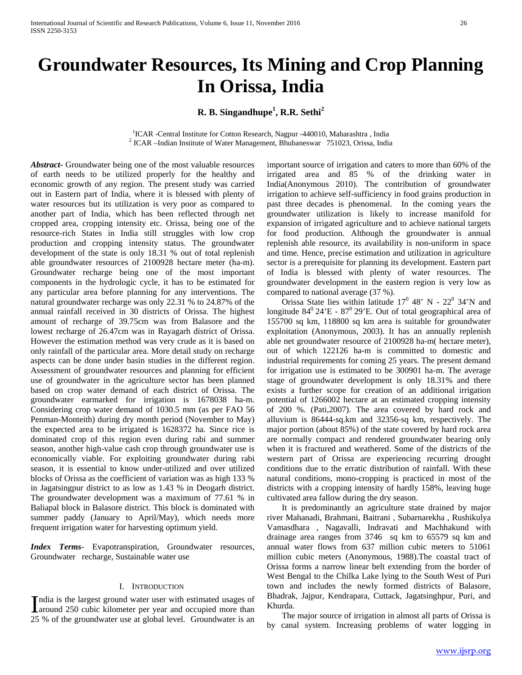# **Groundwater Resources, Its Mining and Crop Planning In Orissa, India**

**R. B. Singandhupe<sup>1</sup> , R.R. Sethi<sup>2</sup>**

<sup>1</sup>ICAR -Central Institute for Cotton Research, Nagpur -440010, Maharashtra, India <sup>2</sup> ICAR -Indian Institute of Water Management, Bhubaneswar  $751023$ , Orissa, India

*Abstract***-** Groundwater being one of the most valuable resources of earth needs to be utilized properly for the healthy and economic growth of any region. The present study was carried out in Eastern part of India, where it is blessed with plenty of water resources but its utilization is very poor as compared to another part of India, which has been reflected through net cropped area, cropping intensity etc. Orissa, being one of the resource-rich States in India still struggles with low crop production and cropping intensity status. The groundwater development of the state is only 18.31 % out of total replenish able groundwater resources of 2100928 hectare meter (ha-m). Groundwater recharge being one of the most important components in the hydrologic cycle, it has to be estimated for any particular area before planning for any interventions. The natural groundwater recharge was only 22.31 % to 24.87% of the annual rainfall received in 30 districts of Orissa. The highest amount of recharge of 39.75cm was from Balasore and the lowest recharge of 26.47cm was in Rayagarh district of Orissa. However the estimation method was very crude as it is based on only rainfall of the particular area. More detail study on recharge aspects can be done under basin studies in the different region. Assessment of groundwater resources and planning for efficient use of groundwater in the agriculture sector has been planned based on crop water demand of each district of Orissa. The groundwater earmarked for irrigation is 1678038 ha-m. Considering crop water demand of 1030.5 mm (as per FAO 56 Penman-Monteith) during dry month period (November to May) the expected area to be irrigated is 1628372 ha. Since rice is dominated crop of this region even during rabi and summer season, another high-value cash crop through groundwater use is economically viable. For exploiting groundwater during rabi season, it is essential to know under-utilized and over utilized blocks of Orissa as the coefficient of variation was as high 133 % in Jagatsingpur district to as low as 1.43 % in Deogarh district. The groundwater development was a maximum of 77.61 % in Baliapal block in Balasore district. This block is dominated with summer paddy (January to April/May), which needs more frequent irrigation water for harvesting optimum yield.

*Index Terms*- Evapotranspiration, Groundwater resources, Groundwater recharge, Sustainable water use

#### I. INTRODUCTION

ndia is the largest ground water user with estimated usages of India is the largest ground water user with estimated usages of around 250 cubic kilometer per year and occupied more than 25 % of the groundwater use at global level. Groundwater is an

important source of irrigation and caters to more than 60% of the irrigated area and 85 % of the drinking water in India(Anonymous 2010). The contribution of groundwater irrigation to achieve self-sufficiency in food grains production in past three decades is phenomenal. In the coming years the groundwater utilization is likely to increase manifold for expansion of irrigated agriculture and to achieve national targets for food production. Although the groundwater is annual replenish able resource, its availability is non-uniform in space and time. Hence, precise estimation and utilization in agriculture sector is a prerequisite for planning its development. Eastern part of India is blessed with plenty of water resources. The groundwater development in the eastern region is very low as compared to national average (37 %).

Orissa State lies within latitude  $17^0$  48' N -  $22^0$  34'N and longitude  $84^{\circ}$  24'E -  $87^{\circ}$  29'E. Out of total geographical area of 155700 sq km, 118800 sq km area is suitable for groundwater exploitation (Anonymous, 2003). It has an annually replenish able net groundwater resource of 2100928 ha-m( hectare meter), out of which 122126 ha-m is committed to domestic and industrial requirements for coming 25 years. The present demand for irrigation use is estimated to be 300901 ha-m. The average stage of groundwater development is only 18.31% and there exists a further scope for creation of an additional irrigation potential of 1266002 hectare at an estimated cropping intensity of 200 %. (Pati,2007). The area covered by hard rock and alluvium is 86444-sq.km and 32356-sq km, respectively. The major portion (about 85%) of the state covered by hard rock area are normally compact and rendered groundwater bearing only when it is fractured and weathered. Some of the districts of the western part of Orissa are experiencing recurring drought conditions due to the erratic distribution of rainfall. With these natural conditions, mono-cropping is practiced in most of the districts with a cropping intensity of hardly 158%, leaving huge cultivated area fallow during the dry season.

 It is predominantly an agriculture state drained by major river Mahanadi, Brahmani, Baitrani , Subarnarekha , Rushikulya Vamasdhara , Nagavalli, Indravati and Machhakund with drainage area ranges from 3746 sq km to 65579 sq km and annual water flows from 637 million cubic meters to 51061 million cubic meters (Anonymous, 1988).The coastal tract of Orissa forms a narrow linear belt extending from the border of West Bengal to the Chilka Lake lying to the South West of Puri town and includes the newly formed districts of Balasore, Bhadrak, Jajpur, Kendrapara, Cuttack, Jagatsinghpur, Puri, and Khurda.

 The major source of irrigation in almost all parts of Orissa is by canal system. Increasing problems of water logging in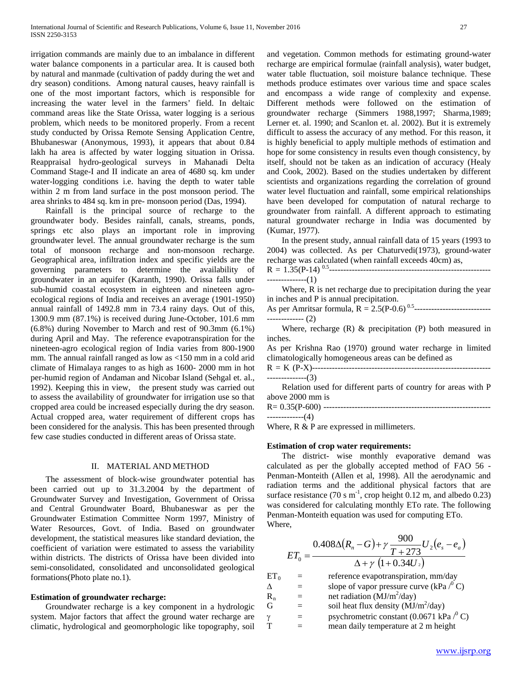irrigation commands are mainly due to an imbalance in different water balance components in a particular area. It is caused both by natural and manmade (cultivation of paddy during the wet and dry season) conditions. Among natural causes, heavy rainfall is one of the most important factors, which is responsible for increasing the water level in the farmers' field. In deltaic command areas like the State Orissa, water logging is a serious problem, which needs to be monitored properly. From a recent study conducted by Orissa Remote Sensing Application Centre, Bhubaneswar (Anonymous, 1993), it appears that about 0.84 lakh ha area is affected by water logging situation in Orissa. Reappraisal hydro-geological surveys in Mahanadi Delta Command Stage-I and II indicate an area of 4680 sq. km under water-logging conditions i.e. having the depth to water table within 2 m from land surface in the post monsoon period. The area shrinks to 484 sq. km in pre- monsoon period (Das, 1994).

 Rainfall is the principal source of recharge to the groundwater body. Besides rainfall, canals, streams, ponds, springs etc also plays an important role in improving groundwater level. The annual groundwater recharge is the sum total of monsoon recharge and non-monsoon recharge. Geographical area, infiltration index and specific yields are the governing parameters to determine the availability of groundwater in an aquifer (Karanth, 1990). Orissa falls under sub-humid coastal ecosystem in eighteen and nineteen agroecological regions of India and receives an average (1901-1950) annual rainfall of 1492.8 mm in 73.4 rainy days. Out of this, 1300.9 mm (87.1%) is received during June-October, 101.6 mm (6.8%) during November to March and rest of 90.3mm (6.1%) during April and May. The reference evapotranspiration for the nineteen-agro ecological region of India varies from 800-1900 mm. The annual rainfall ranged as low as <150 mm in a cold arid climate of Himalaya ranges to as high as 1600- 2000 mm in hot per-humid region of Andaman and Nicobar Island (Sehgal et. al., 1992). Keeping this in view, the present study was carried out to assess the availability of groundwater for irrigation use so that cropped area could be increased especially during the dry season. Actual cropped area, water requirement of different crops has been considered for the analysis. This has been presented through few case studies conducted in different areas of Orissa state.

#### II. MATERIAL AND METHOD

 The assessment of block-wise groundwater potential has been carried out up to 31.3.2004 by the department of Groundwater Survey and Investigation, Government of Orissa and Central Groundwater Board, Bhubaneswar as per the Groundwater Estimation Committee Norm 1997, Ministry of Water Resources, Govt. of India. Based on groundwater development, the statistical measures like standard deviation, the coefficient of variation were estimated to assess the variability within districts. The districts of Orissa have been divided into semi-consolidated, consolidated and unconsolidated geological formations(Photo plate no.1).

#### **Estimation of groundwater recharge:**

 Groundwater recharge is a key component in a hydrologic system. Major factors that affect the ground water recharge are climatic, hydrological and geomorphologic like topography, soil and vegetation. Common methods for estimating ground-water recharge are empirical formulae (rainfall analysis), water budget, water table fluctuation, soil moisture balance technique. These methods produce estimates over various time and space scales and encompass a wide range of complexity and expense. Different methods were followed on the estimation of groundwater recharge (Simmers 1988,1997; Sharma,1989; Lerner et. al. 1990; and Scanlon et. al. 2002). But it is extremely difficult to assess the accuracy of any method. For this reason, it is highly beneficial to apply multiple methods of estimation and hope for some consistency in results even though consistency, by itself, should not be taken as an indication of accuracy (Healy and Cook, 2002). Based on the studies undertaken by different scientists and organizations regarding the correlation of ground water level fluctuation and rainfall, some empirical relationships have been developed for computation of natural recharge to groundwater from rainfall. A different approach to estimating natural groundwater recharge in India was documented by (Kumar, 1977).

 In the present study, annual rainfall data of 15 years (1993 to 2004) was collected. As per Chaturvedi(1973), ground-water recharge was calculated (when rainfall exceeds 40cm) as,

 $R = 1.35(P-14)^{0.5}$ --------------(1)

 Where, R is net recharge due to precipitation during the year in inches and P is annual precipitation.

As per Amritsar formula, R = 2.5(P-0.6) 0.5--------------------------- ------------- (2)

 Where, recharge (R) & precipitation (P) both measured in inches.

As per Krishna Rao (1970) ground water recharge in limited climatologically homogeneous areas can be defined as

R = K (P-X)--------------------------------------------------------------- --------------(3)

 Relation used for different parts of country for areas with P above 2000 mm is

R= 0.35(P-600) -----------------------------------------------------------

-------------(4)

Where, R & P are expressed in millimeters.

#### **Estimation of crop water requirements:**

 The district- wise monthly evaporative demand was calculated as per the globally accepted method of FAO 56 - Penman-Monteith (Allen et al, 1998). All the aerodynamic and radiation terms and the additional physical factors that are surface resistance (70 s  $m^{-1}$ , crop height 0.12 m, and albedo 0.23) was considered for calculating monthly ETo rate. The following Penman-Monteith equation was used for computing ETo. Where,

$$
ET_0 = \frac{0.408 \Delta (R_n - G) + \gamma \frac{900}{T+273} U_2 (e_s - e_a)}{\Delta + \gamma \ (1 + 0.34 U_2)}
$$

| $ET_0$   | reference evapotranspiration, mm/day                |
|----------|-----------------------------------------------------|
|          | slope of vapor pressure curve (kPa $\frac{1}{2}$ C) |
| $R_{n}$  | net radiation ( $\dot{MJ}/m^2$ /day)                |
| G        | soil heat flux density $(MJ/m^2/day)$               |
| $\gamma$ | psychrometric constant (0.0671 kPa $\mathcal{O}$ C) |
|          | mean daily temperature at 2 m height                |
|          |                                                     |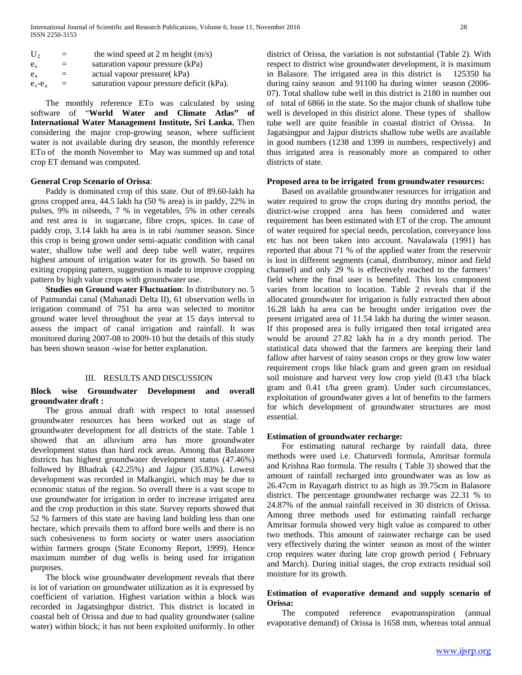| $U_{2}$           | $=$ | the wind speed at 2 m height $(m/s)$      |
|-------------------|-----|-------------------------------------------|
| e <sub>s</sub>    | $=$ | saturation vapour pressure (kPa)          |
| $e_{\rm a}$       | $=$ | actual vapour pressure (kPa)              |
| $e_{s}$ - $e_{a}$ | $=$ | saturation vapour pressure deficit (kPa). |

 The monthly reference ETo was calculated by using software of "**World Water and Climate Atlas" of International Water Management Institute, Sri Lanka.** Then considering the major crop-growing season, where sufficient water is not available during dry season, the monthly reference ETo of the month November to May was summed up and total crop ET demand was computed.

#### **General Crop Scenario of Orissa**:

 Paddy is dominated crop of this state. Out of 89.60-lakh ha gross cropped area, 44.5 lakh ha (50 % area) is in paddy, 22% in pulses, 9% in oilseeds, 7 % in vegetables, 5% in other cereals and rest area is in sugarcane, fibre crops, spices. In case of paddy crop, 3.14 lakh ha area is in rabi /summer season. Since this crop is being grown under semi-aquatic condition with canal water, shallow tube well and deep tube well water, requires highest amount of irrigation water for its growth. So based on exiting cropping pattern, suggestion is made to improve cropping pattern by high value crops with groundwater use.

 **Studies on Ground water Fluctuation**: In distributory no. 5 of Patmundai canal (Mahanadi Delta II), 61 observation wells in irrigation command of 751 ha area was selected to monitor ground water level throughout the year at 15 days interval to assess the impact of canal irrigation and rainfall. It was monitored during 2007-08 to 2009-10 but the details of this study has been shown season -wise for better explanation.

#### III. RESULTS AND DISCUSSION

#### **Block wise Groundwater Development and overall groundwater draft :**

 The gross annual draft with respect to total assessed groundwater resources has been worked out as stage of groundwater development for all districts of the state. Table 1 showed that an alluvium area has more groundwater development status than hard rock areas. Among that Balasore districts has highest groundwater development status (47.46%) followed by Bhadrak (42.25%) and Jajpur (35.83%). Lowest development was recorded in Malkangiri, which may be due to economic status of the region. So overall there is a vast scope to use groundwater for irrigation in order to increase irrigated area and the crop production in this state. Survey reports showed that 52 % farmers of this state are having land holding less than one hectare, which prevails them to afford bore wells and there is no such cohesiveness to form society or water users association within farmers groups (State Economy Report, 1999). Hence maximum number of dug wells is being used for irrigation purposes.

 The block wise groundwater development reveals that there is lot of variation on groundwater utilization as it is expressed by coefficient of variation. Highest variation within a block was recorded in Jagatsinghpur district. This district is located in coastal belt of Orissa and due to bad quality groundwater (saline water) within block; it has not been exploited uniformly. In other

district of Orissa, the variation is not substantial (Table 2). With respect to district wise groundwater development, it is maximum in Balasore. The irrigated area in this district is 125350 ha during rainy season and 91100 ha during winter season (2006- 07). Total shallow tube well in this district is 2180 in number out of total of 6866 in the state. So the major chunk of shallow tube well is developed in this district alone. These types of shallow tube well are quite feasible in coastal district of Orissa. In Jagatsingpur and Jajpur districts shallow tube wells are available in good numbers (1238 and 1399 in numbers, respectively) and thus irrigated area is reasonably more as compared to other districts of state.

#### **Proposed area to be irrigated from groundwater resources:**

 Based on available groundwater resources for irrigation and water required to grow the crops during dry months period, the district-wise cropped area has been considered and water requirement has been estimated with ET of the crop. The amount of water required for special needs, percolation, conveyance loss etc has not been taken into account. Navalawala (1991) has reported that about 71 % of the applied water from the reservoir is lost in different segments (canal, distributory, minor and field channel) and only 29 % is effectively reached to the farmers' field where the final user is benefited. This loss component varies from location to location. Table 2 reveals that if the allocated groundwater for irrigation is fully extracted then about 16.28 lakh ha area can be brought under irrigation over the present irrigated area of 11.54 lakh ha during the winter season. If this proposed area is fully irrigated then total irrigated area would be around 27.82 lakh ha in a dry month period. The statistical data showed that the farmers are keeping their land fallow after harvest of rainy season crops or they grow low water requirement crops like black gram and green gram on residual soil moisture and harvest very low crop yield (0.43 t/ha black gram and 0.41 t/ha green gram). Under such circumstances, exploitation of groundwater gives a lot of benefits to the farmers for which development of groundwater structures are most essential.

#### **Estimation of groundwater recharge:**

 For estimating natural recharge by rainfall data, three methods were used i.e. Chaturvedi formula, Amritsar formula and Krishna Rao formula. The results ( Table 3) showed that the amount of rainfall recharged into groundwater was as low as 26.47cm in Rayagarh district to as high as 39.75cm in Balasore district. The percentage groundwater recharge was 22.31 % to 24.87% of the annual rainfall received in 30 districts of Orissa. Among three methods used for estimating rainfall recharge Amritsar formula showed very high value as compared to other two methods. This amount of rainwater recharge can be used very effectively during the winter season as most of the winter crop requires water during late crop growth period ( February and March). During initial stages, the crop extracts residual soil moisture for its growth.

#### **Estimation of evaporative demand and supply scenario of Orissa:**

 The computed reference evapotranspiration (annual evaporative demand) of Orissa is 1658 mm, whereas total annual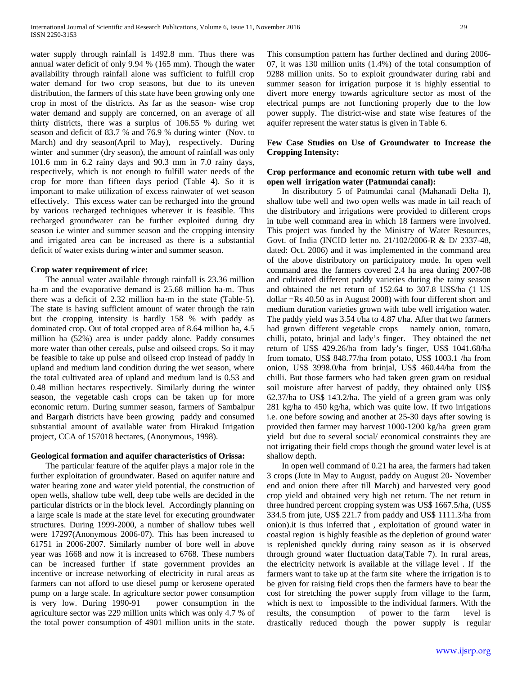water supply through rainfall is 1492.8 mm. Thus there was annual water deficit of only 9.94 % (165 mm). Though the water availability through rainfall alone was sufficient to fulfill crop water demand for two crop seasons, but due to its uneven distribution, the farmers of this state have been growing only one crop in most of the districts. As far as the season- wise crop water demand and supply are concerned, on an average of all thirty districts, there was a surplus of 106.55 % during wet season and deficit of 83.7 % and 76.9 % during winter (Nov. to March) and dry season(April to May), respectively. During winter and summer (dry season), the amount of rainfall was only 101.6 mm in 6.2 rainy days and 90.3 mm in 7.0 rainy days, respectively, which is not enough to fulfill water needs of the crop for more than fifteen days period (Table 4). So it is important to make utilization of excess rainwater of wet season effectively. This excess water can be recharged into the ground by various recharged techniques wherever it is feasible. This recharged groundwater can be further exploited during dry season i.e winter and summer season and the cropping intensity and irrigated area can be increased as there is a substantial deficit of water exists during winter and summer season.

#### **Crop water requirement of rice:**

 The annual water available through rainfall is 23.36 million ha-m and the evaporative demand is 25.68 million ha-m. Thus there was a deficit of 2.32 million ha-m in the state (Table-5). The state is having sufficient amount of water through the rain but the cropping intensity is hardly 158 % with paddy as dominated crop. Out of total cropped area of 8.64 million ha, 4.5 million ha (52%) area is under paddy alone. Paddy consumes more water than other cereals, pulse and oilseed crops. So it may be feasible to take up pulse and oilseed crop instead of paddy in upland and medium land condition during the wet season, where the total cultivated area of upland and medium land is 0.53 and 0.48 million hectares respectively. Similarly during the winter season, the vegetable cash crops can be taken up for more economic return. During summer season, farmers of Sambalpur and Bargarh districts have been growing paddy and consumed substantial amount of available water from Hirakud Irrigation project, CCA of 157018 hectares, (Anonymous, 1998).

#### **Geological formation and aquifer characteristics of Orissa:**

 The particular feature of the aquifer plays a major role in the further exploitation of groundwater. Based on aquifer nature and water bearing zone and water yield potential, the construction of open wells, shallow tube well, deep tube wells are decided in the particular districts or in the block level. Accordingly planning on a large scale is made at the state level for executing groundwater structures. During 1999-2000, a number of shallow tubes well were 17297(Anonymous 2006-07). This has been increased to 61751 in 2006-2007. Similarly number of bore well in above year was 1668 and now it is increased to 6768. These numbers can be increased further if state government provides an incentive or increase networking of electricity in rural areas as farmers can not afford to use diesel pump or kerosene operated pump on a large scale. In agriculture sector power consumption is very low. During 1990-91 power consumption in the agriculture sector was 229 million units which was only 4.7 % of the total power consumption of 4901 million units in the state.

This consumption pattern has further declined and during 2006- 07, it was 130 million units (1.4%) of the total consumption of 9288 million units. So to exploit groundwater during rabi and summer season for irrigation purpose it is highly essential to divert more energy towards agriculture sector as most of the electrical pumps are not functioning properly due to the low power supply. The district-wise and state wise features of the aquifer represent the water status is given in Table 6.

#### **Few Case Studies on Use of Groundwater to Increase the Cropping Intensity:**

#### **Crop performance and economic return with tube well and open well irrigation water (Patmundai canal):**

 In distributory 5 of Patmundai canal (Mahanadi Delta I), shallow tube well and two open wells was made in tail reach of the distributory and irrigations were provided to different crops in tube well command area in which 18 farmers were involved. This project was funded by the Ministry of Water Resources, Govt. of India (INCID letter no. 21/102/2006-R & D/ 2337-48, dated: Oct. 2006) and it was implemented in the command area of the above distributory on participatory mode. In open well command area the farmers covered 2.4 ha area during 2007-08 and cultivated different paddy varieties during the rainy season and obtained the net return of 152.64 to 307.8 US\$/ha (1 US dollar =Rs 40.50 as in August 2008) with four different short and medium duration varieties grown with tube well irrigation water. The paddy yield was 3.54 t/ha to 4.87 t/ha. After that two farmers had grown different vegetable crops namely onion, tomato, chilli, potato, brinjal and lady's finger. They obtained the net return of US\$ 429.26/ha from lady's finger, US\$ 1041.68/ha from tomato, US\$ 848.77/ha from potato, US\$ 1003.1 /ha from onion, US\$ 3998.0/ha from brinjal, US\$ 460.44/ha from the chilli. But those farmers who had taken green gram on residual soil moisture after harvest of paddy, they obtained only US\$ 62.37/ha to US\$ 143.2/ha. The yield of a green gram was only 281 kg/ha to 450 kg/ha, which was quite low. If two irrigations i.e. one before sowing and another at 25-30 days after sowing is provided then farmer may harvest 1000-1200 kg/ha green gram yield but due to several social/ economical constraints they are not irrigating their field crops though the ground water level is at shallow depth.

 In open well command of 0.21 ha area, the farmers had taken 3 crops (Jute in May to August, paddy on August 20- November end and onion there after till March) and harvested very good crop yield and obtained very high net return. The net return in three hundred percent cropping system was US\$ 1667.5/ha, (US\$ 334.5 from jute, US\$ 221.7 from paddy and US\$ 1111.3/ha from onion).it is thus inferred that , exploitation of ground water in coastal region is highly feasible as the depletion of ground water is replenished quickly during rainy season as it is observed through ground water fluctuation data(Table 7). In rural areas, the electricity network is available at the village level . If the farmers want to take up at the farm site where the irrigation is to be given for raising field crops then the farmers have to bear the cost for stretching the power supply from village to the farm, which is next to impossible to the individual farmers. With the results, the consumption of power to the farm level is drastically reduced though the power supply is regular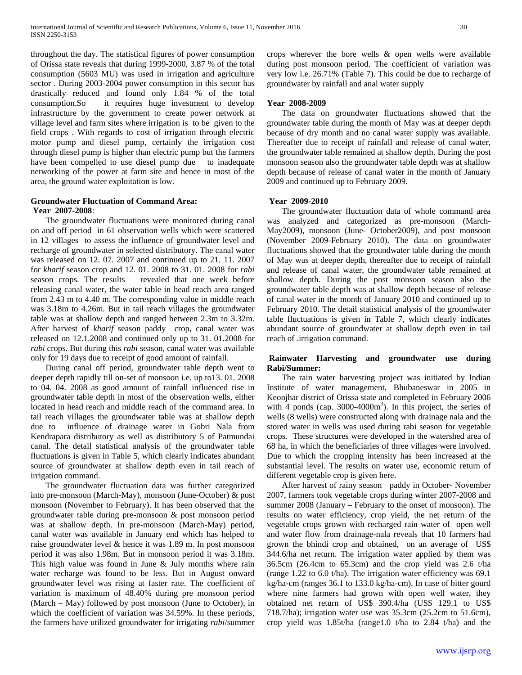throughout the day. The statistical figures of power consumption of Orissa state reveals that during 1999-2000, 3.87 % of the total consumption (5603 MU) was used in irrigation and agriculture sector . During 2003-2004 power consumption in this sector has drastically reduced and found only 1.84 % of the total consumption.So it requires huge investment to develop infrastructure by the government to create power network at village level and farm sites where irrigation is to be given to the field crops . With regards to cost of irrigation through electric motor pump and diesel pump, certainly the irrigation cost through diesel pump is higher than electric pump but the farmers have been compelled to use diesel pump due to inadequate networking of the power at farm site and hence in most of the area, the ground water exploitation is low.

### **Groundwater Fluctuation of Command Area: Year 2007-2008**:

 The groundwater fluctuations were monitored during canal on and off period in 61 observation wells which were scattered in 12 villages to assess the influence of groundwater level and recharge of groundwater in selected distributory. The canal water was released on 12. 07. 2007 and continued up to 21. 11. 2007 for *kharif* season crop and 12. 01. 2008 to 31. 01. 2008 for *rabi* season crops. The results revealed that one week before releasing canal water, the water table in head reach area ranged from 2.43 m to 4.40 m. The corresponding value in middle reach was 3.18m to 4.26m. But in tail reach villages the groundwater table was at shallow depth and ranged between 2.3m to 3.32m. After harvest of *kharif* season paddy crop, canal water was released on 12.1.2008 and continued only up to 31. 01.2008 for *rabi* crops. But during this *rabi* season, canal water was available only for 19 days due to receipt of good amount of rainfall.

 During canal off period, groundwater table depth went to deeper depth rapidly till on-set of monsoon i.e. up to13. 01. 2008 to 04. 04. 2008 as good amount of rainfall influenced rise in groundwater table depth in most of the observation wells, either located in head reach and middle reach of the command area. In tail reach villages the groundwater table was at shallow depth due to influence of drainage water in Gobri Nala from Kendrapara distributory as well as distributory 5 of Patmundai canal. The detail statistical analysis of the groundwater table fluctuations is given in Table 5, which clearly indicates abundant source of groundwater at shallow depth even in tail reach of irrigation command.

 The groundwater fluctuation data was further categorized into pre-monsoon (March-May), monsoon (June-October) & post monsoon (November to February). It has been observed that the groundwater table during pre-monsoon & post monsoon period was at shallow depth. In pre-monsoon (March-May) period, canal water was available in January end which has helped to raise groundwater level & hence it was 1.89 m. In post monsoon period it was also 1.98m. But in monsoon period it was 3.18m. This high value was found in June & July months where rain water recharge was found to be less. But in August onward groundwater level was rising at faster rate. The coefficient of variation is maximum of 48.40% during pre monsoon period (March – May) followed by post monsoon (June to October), in which the coefficient of variation was 34.59%. In these periods, the farmers have utilized groundwater for irrigating *rabi*/summer

#### **Year 2008-2009**

 The data on groundwater fluctuations showed that the groundwater table during the month of May was at deeper depth because of dry month and no canal water supply was available. Thereafter due to receipt of rainfall and release of canal water, the groundwater table remained at shallow depth. During the post monsoon season also the groundwater table depth was at shallow depth because of release of canal water in the month of January 2009 and continued up to February 2009.

#### **Year 2009-2010**

 The groundwater fluctuation data of whole command area was analyzed and categorized as pre-monsoon (March-May2009), monsoon (June- October2009), and post monsoon (November 2009-February 2010). The data on groundwater fluctuations showed that the groundwater table during the month of May was at deeper depth, thereafter due to receipt of rainfall and release of canal water, the groundwater table remained at shallow depth. During the post monsoon season also the groundwater table depth was at shallow depth because of release of canal water in the month of January 2010 and continued up to February 2010. The detail statistical analysis of the groundwater table fluctuations is given in Table 7, which clearly indicates abundant source of groundwater at shallow depth even in tail reach of .irrigation command.

#### **Rainwater Harvesting and groundwater use during Rabi/Summer:**

 The rain water harvesting project was initiated by Indian Institute of water management, Bhubaneswar in 2005 in Keonjhar district of Orissa state and completed in February 2006 with  $4$  ponds (cap.  $3000-4000m^3$ ). In this project, the series of wells (8 wells) were constructed along with drainage nala and the stored water in wells was used during rabi season for vegetable crops. These structures were developed in the watershed area of 68 ha, in which the beneficiaries of three villages were involved. Due to which the cropping intensity has been increased at the substantial level. The results on water use, economic return of different vegetable crop is given here.

 After harvest of rainy season paddy in October- November 2007, farmers took vegetable crops during winter 2007-2008 and summer 2008 (January – February to the onset of monsoon). The results on water efficiency, crop yield, the net return of the vegetable crops grown with recharged rain water of open well and water flow from drainage-nala reveals that 10 farmers had grown the bhindi crop and obtained, on an average of US\$ 344.6/ha net return. The irrigation water applied by them was 36.5cm (26.4cm to 65.3cm) and the crop yield was 2.6 t/ha (range 1.22 to 6.0 t/ha). The irrigation water efficiency was 69.1 kg/ha-cm (ranges 36.1 to 133.0 kg/ha-cm). In case of bitter gourd where nine farmers had grown with open well water, they obtained net return of US\$ 390.4/ha (US\$ 129.1 to US\$ 718.7/ha); irrigation water use was 35.3cm (25.2cm to 51.6cm), crop yield was 1.85t/ha (range1.0 t/ha to 2.84 t/ha) and the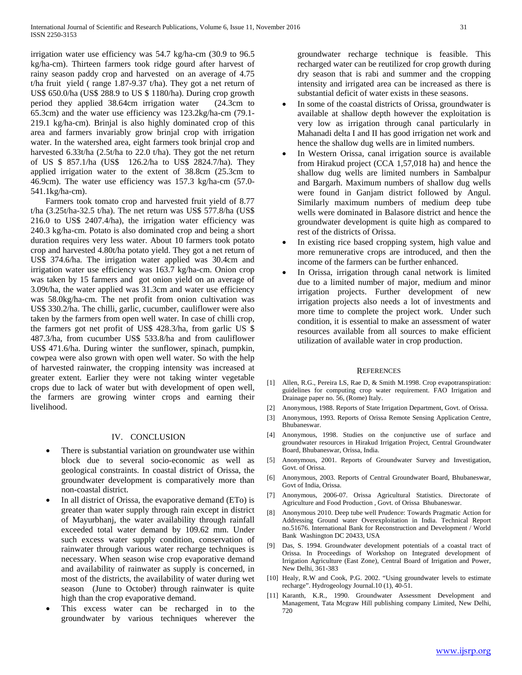irrigation water use efficiency was 54.7 kg/ha-cm (30.9 to 96.5 kg/ha-cm). Thirteen farmers took ridge gourd after harvest of rainy season paddy crop and harvested on an average of 4.75 t/ha fruit yield ( range 1.87-9.37 t/ha). They got a net return of US\$ 650.0/ha (US\$ 288.9 to US \$ 1180/ha). During crop growth period they applied 38.64cm irrigation water (24.3cm to 65.3cm) and the water use efficiency was 123.2kg/ha-cm (79.1- 219.1 kg/ha-cm). Brinjal is also highly dominated crop of this area and farmers invariably grow brinjal crop with irrigation water. In the watershed area, eight farmers took brinjal crop and harvested 6.33t/ha (2.5t/ha to 22.0 t/ha). They got the net return of US \$ 857.1/ha (US\$ 126.2/ha to US\$ 2824.7/ha). They applied irrigation water to the extent of 38.8cm (25.3cm to 46.9cm). The water use efficiency was 157.3 kg/ha-cm (57.0- 541.1kg/ha-cm).

 Farmers took tomato crop and harvested fruit yield of 8.77 t/ha (3.25t/ha-32.5 t/ha). The net return was US\$ 577.8/ha (US\$ 216.0 to US\$ 2407.4/ha), the irrigation water efficiency was 240.3 kg/ha-cm. Potato is also dominated crop and being a short duration requires very less water. About 10 farmers took potato crop and harvested 4.80t/ha potato yield. They got a net return of US\$ 374.6/ha. The irrigation water applied was 30.4cm and irrigation water use efficiency was 163.7 kg/ha-cm. Onion crop was taken by 15 farmers and got onion yield on an average of 3.09t/ha, the water applied was 31.3cm and water use efficiency was 58.0kg/ha-cm. The net profit from onion cultivation was US\$ 330.2/ha. The chilli, garlic, cucumber, cauliflower were also taken by the farmers from open well water. In case of chilli crop, the farmers got net profit of US\$ 428.3/ha, from garlic US \$ 487.3/ha, from cucumber US\$ 533.8/ha and from cauliflower US\$ 471.6/ha. During winter the sunflower, spinach, pumpkin, cowpea were also grown with open well water. So with the help of harvested rainwater, the cropping intensity was increased at greater extent. Earlier they were not taking winter vegetable crops due to lack of water but with development of open well, the farmers are growing winter crops and earning their livelihood.

#### IV. CONCLUSION

- There is substantial variation on groundwater use within block due to several socio-economic as well as geological constraints. In coastal district of Orissa, the groundwater development is comparatively more than non-coastal district.
- In all district of Orissa, the evaporative demand (ETo) is greater than water supply through rain except in district of Mayurbhanj, the water availability through rainfall exceeded total water demand by 109.62 mm. Under such excess water supply condition, conservation of rainwater through various water recharge techniques is necessary. When season wise crop evaporative demand and availability of rainwater as supply is concerned, in most of the districts, the availability of water during wet season (June to October) through rainwater is quite high than the crop evaporative demand.
- This excess water can be recharged in to the groundwater by various techniques wherever the

groundwater recharge technique is feasible. This recharged water can be reutilized for crop growth during dry season that is rabi and summer and the cropping intensity and irrigated area can be increased as there is substantial deficit of water exists in these seasons.

- In some of the coastal districts of Orissa, groundwater is available at shallow depth however the exploitation is very low as irrigation through canal particularly in Mahanadi delta I and II has good irrigation net work and hence the shallow dug wells are in limited numbers.
- In Western Orissa, canal irrigation source is available from Hirakud project (CCA 1,57,018 ha) and hence the shallow dug wells are limited numbers in Sambalpur and Bargarh. Maximum numbers of shallow dug wells were found in Ganjam district followed by Angul. Similarly maximum numbers of medium deep tube wells were dominated in Balasore district and hence the groundwater development is quite high as compared to rest of the districts of Orissa.
- In existing rice based cropping system, high value and more remunerative crops are introduced, and then the income of the farmers can be further enhanced.
- In Orissa, irrigation through canal network is limited due to a limited number of major, medium and minor irrigation projects. Further development of new irrigation projects also needs a lot of investments and more time to complete the project work. Under such condition, it is essential to make an assessment of water resources available from all sources to make efficient utilization of available water in crop production.

#### **REFERENCES**

- [1] Allen, R.G., Pereira LS, Rae D, & Smith M.1998. Crop evapotranspiration: guidelines for computing crop water requirement. FAO Irrigation and Drainage paper no. 56, (Rome) Italy.
- [2] Anonymous, 1988. Reports of State Irrigation Department, Govt. of Orissa.
- [3] Anonymous, 1993. Reports of Orissa Remote Sensing Application Centre, Bhubaneswar.
- [4] Anonymous, 1998. Studies on the conjunctive use of surface and groundwater resources in Hirakud Irrigation Project, Central Groundwater Board, Bhubaneswar, Orissa, India.
- [5] Anonymous, 2001. Reports of Groundwater Survey and Investigation, Govt. of Orissa.
- [6] Anonymous, 2003. Reports of Central Groundwater Board, Bhubaneswar, Govt of India, Orissa.
- [7] Anonymous, 2006-07. Orissa Agricultural Statistics. Directorate of Agriculture and Food Production , Govt. of Orissa Bhubaneswar.
- [8] Anonymous 2010. Deep tube well Prudence: Towards Pragmatic Action for Addressing Ground water Overexploitation in India. Technical Report no.51676. International Bank for Reconstruction and Development / World Bank Washington DC 20433, USA
- [9] Das, S. 1994. Groundwater development potentials of a coastal tract of Orissa. In Proceedings of Workshop on Integrated development of Irrigation Agriculture (East Zone), Central Board of Irrigation and Power, New Delhi, 361-383
- [10] Healy, R.W and Cook, P.G. 2002. "Using groundwater levels to estimate recharge". Hydrogeology Journal.10 (1), 40-51.
- [11] Karanth, K.R., 1990. Groundwater Assessment Development and Management, Tata Mcgraw Hill publishing company Limited, New Delhi, 720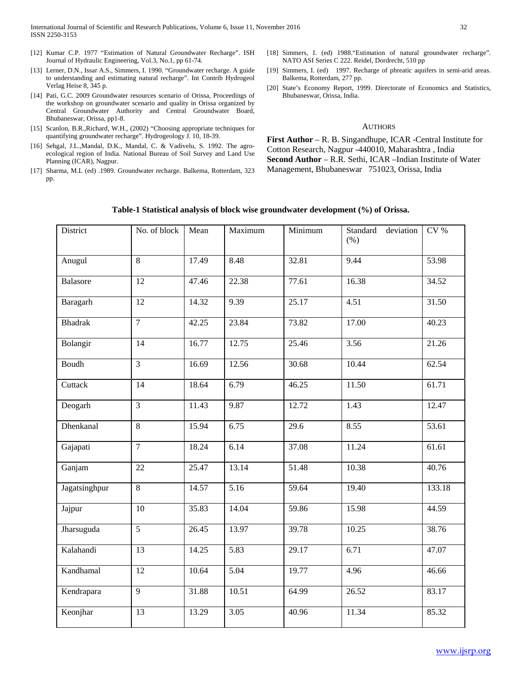- [12] Kumar C.P. 1977 "Estimation of Natural Groundwater Recharge". ISH Journal of Hydraulic Engineering, Vol.3, No.1, pp 61-74.
- [13] Lerner, D.N., Issar A.S., Simmers, I. 1990. "Groundwater recharge. A guide to understanding and estimating natural recharge". Int Contrib Hydrogeol Verlag Heise 8, 345 p.
- [14] Pati, G.C. 2009 Groundwater resources scenario of Orissa, Proceedings of the workshop on groundwater scenario and quality in Orissa organized by Central Groundwater Authority and Central Groundwater Board, Bhubaneswar, Orissa, pp1-8.
- [15] Scanlon, B.R.,Richard, W.H., (2002) "Choosing appropriate techniques for quantifying groundwater recharge". Hydrogeology J. 10, 18-39.
- [16] Sehgal, J.L.,Mandal, D.K., Mandal, C. & Vadivelu, S. 1992. The agroecological region of India. National Bureau of Soil Survey and Land Use Planning (ICAR), Nagpur.
- [17] Sharma, M.L (ed) .1989. Groundwater recharge. Balkema, Rotterdam, 323 pp.
- [18] Simmers, I. (ed) 1988."Estimation of natural groundwater recharge". NATO ASI Series C 222. Reidel, Dordrecht, 510 pp
- [19] Simmers, I. (ed) 1997. Recharge of phreatic aquifers in semi-arid areas. Balkema, Rotterdam, 277 pp.
- [20] State's Economy Report, 1999. Directorate of Economics and Statistics, Bhubaneswar, Orissa, India.

#### **AUTHORS**

**First Author** – R. B. Singandhupe, ICAR -Central Institute for Cotton Research, Nagpur -440010, Maharashtra , India **Second Author** – R.R. Sethi, ICAR –Indian Institute of Water Management, Bhubaneswar 751023, Orissa, India

| District       | No. of block    | Mean  | Maximum           | Minimum | Standard deviation<br>$(\% )$ | $CV$ % |
|----------------|-----------------|-------|-------------------|---------|-------------------------------|--------|
| Anugul         | 8               | 17.49 | 8.48              | 32.81   | 9.44                          | 53.98  |
| Balasore       | 12              | 47.46 | 22.38             | 77.61   | 16.38                         | 34.52  |
| Baragarh       | 12              | 14.32 | 9.39              | 25.17   | 4.51                          | 31.50  |
| <b>Bhadrak</b> | $\overline{7}$  | 42.25 | 23.84             | 73.82   | 17.00                         | 40.23  |
| Bolangir       | 14              | 16.77 | 12.75             | 25.46   | 3.56                          | 21.26  |
| Boudh          | $\overline{3}$  | 16.69 | 12.56             | 30.68   | 10.44                         | 62.54  |
| Cuttack        | 14              | 18.64 | 6.79              | 46.25   | 11.50                         | 61.71  |
| Deogarh        | $\overline{3}$  | 11.43 | 9.87              | 12.72   | 1.43                          | 12.47  |
| Dhenkanal      | 8               | 15.94 | 6.75              | 29.6    | 8.55                          | 53.61  |
| Gajapati       | $\overline{7}$  | 18.24 | 6.14              | 37.08   | 11.24                         | 61.61  |
| Ganjam         | 22              | 25.47 | 13.14             | 51.48   | 10.38                         | 40.76  |
| Jagatsinghpur  | $\overline{8}$  | 14.57 | $\overline{5.16}$ | 59.64   | 19.40                         | 133.18 |
| Jajpur         | 10              | 35.83 | 14.04             | 59.86   | 15.98                         | 44.59  |
| Jharsuguda     | $\overline{5}$  | 26.45 | 13.97             | 39.78   | 10.25                         | 38.76  |
| Kalahandi      | 13              | 14.25 | 5.83              | 29.17   | 6.71                          | 47.07  |
| Kandhamal      | 12              | 10.64 | 5.04              | 19.77   | 4.96                          | 46.66  |
| Kendrapara     | $\overline{9}$  | 31.88 | 10.51             | 64.99   | 26.52                         | 83.17  |
| Keonjhar       | $\overline{13}$ | 13.29 | 3.05              | 40.96   | 11.34                         | 85.32  |

#### **Table-1 Statistical analysis of block wise groundwater development (%) of Orissa.**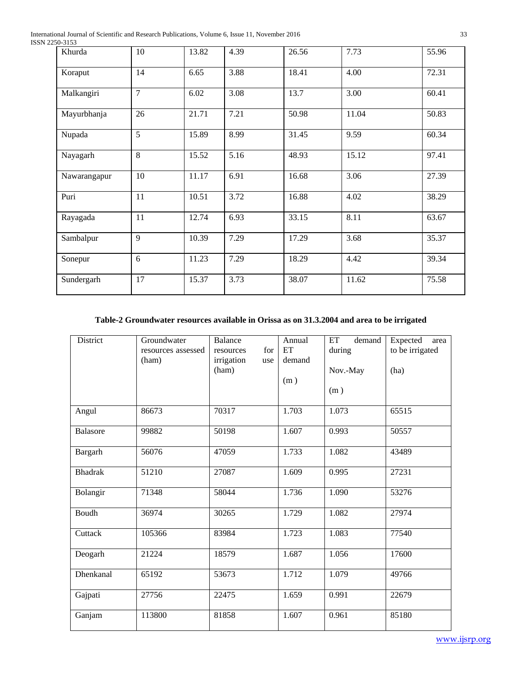International Journal of Scientific and Research Publications, Volume 6, Issue 11, November 2016 33 ISSN 2250-3153

| JU-JIJJ      |                |       |                   |       |       |       |
|--------------|----------------|-------|-------------------|-------|-------|-------|
| Khurda       | 10             | 13.82 | 4.39              | 26.56 | 7.73  | 55.96 |
| Koraput      | 14             | 6.65  | 3.88              | 18.41 | 4.00  | 72.31 |
| Malkangiri   | $\overline{7}$ | 6.02  | 3.08              | 13.7  | 3.00  | 60.41 |
| Mayurbhanja  | 26             | 21.71 | 7.21              | 50.98 | 11.04 | 50.83 |
| Nupada       | $\overline{5}$ | 15.89 | $\overline{8.99}$ | 31.45 | 9.59  | 60.34 |
| Nayagarh     | 8              | 15.52 | 5.16              | 48.93 | 15.12 | 97.41 |
| Nawarangapur | 10             | 11.17 | 6.91              | 16.68 | 3.06  | 27.39 |
| Puri         | 11             | 10.51 | 3.72              | 16.88 | 4.02  | 38.29 |
| Rayagada     | 11             | 12.74 | 6.93              | 33.15 | 8.11  | 63.67 |
| Sambalpur    | 9              | 10.39 | 7.29              | 17.29 | 3.68  | 35.37 |
| Sonepur      | 6              | 11.23 | 7.29              | 18.29 | 4.42  | 39.34 |
| Sundergarh   | 17             | 15.37 | 3.73              | 38.07 | 11.62 | 75.58 |

# **Table-2 Groundwater resources available in Orissa as on 31.3.2004 and area to be irrigated**

| District        | Groundwater<br>resources assessed<br>(ham) | <b>Balance</b><br>for<br>resources<br>irrigation<br>use<br>(ham) | Annual<br>ET<br>demand<br>(m) | ET<br>demand<br>during<br>Nov.-May<br>(m) | Expected<br>area<br>to be irrigated<br>(ha) |
|-----------------|--------------------------------------------|------------------------------------------------------------------|-------------------------------|-------------------------------------------|---------------------------------------------|
| Angul           | 86673                                      | 70317                                                            | 1.703                         | 1.073                                     | 65515                                       |
| <b>Balasore</b> | 99882                                      | 50198                                                            | 1.607                         | 0.993                                     | 50557                                       |
| Bargarh         | 56076                                      | 47059                                                            | 1.733                         | 1.082                                     | 43489                                       |
| <b>Bhadrak</b>  | 51210                                      | 27087                                                            | 1.609                         | 0.995                                     | 27231                                       |
| Bolangir        | 71348                                      | 58044                                                            | 1.736                         | 1.090                                     | 53276                                       |
| Boudh           | 36974                                      | 30265                                                            | 1.729                         | 1.082                                     | 27974                                       |
| Cuttack         | 105366                                     | 83984                                                            | 1.723                         | 1.083                                     | 77540                                       |
| Deogarh         | 21224                                      | 18579                                                            | 1.687                         | 1.056                                     | 17600                                       |
| Dhenkanal       | 65192                                      | 53673                                                            | 1.712                         | 1.079                                     | 49766                                       |
| Gajpati         | 27756                                      | 22475                                                            | 1.659                         | 0.991                                     | 22679                                       |
| Ganjam          | 113800                                     | 81858                                                            | 1.607                         | 0.961                                     | 85180                                       |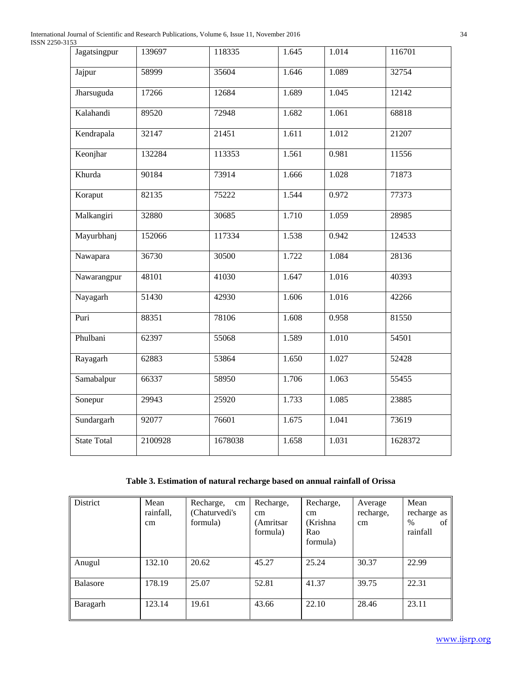International Journal of Scientific and Research Publications, Volume 6, Issue 11, November 2016 34 ISSN 2250-3153

| Jagatsingpur       | 139697  | 118335  | 1.645 | 1.014 | 116701  |
|--------------------|---------|---------|-------|-------|---------|
| Jajpur             | 58999   | 35604   | 1.646 | 1.089 | 32754   |
| Jharsuguda         | 17266   | 12684   | 1.689 | 1.045 | 12142   |
| Kalahandi          | 89520   | 72948   | 1.682 | 1.061 | 68818   |
| Kendrapala         | 32147   | 21451   | 1.611 | 1.012 | 21207   |
| Keonjhar           | 132284  | 113353  | 1.561 | 0.981 | 11556   |
| Khurda             | 90184   | 73914   | 1.666 | 1.028 | 71873   |
| Koraput            | 82135   | 75222   | 1.544 | 0.972 | 77373   |
| Malkangiri         | 32880   | 30685   | 1.710 | 1.059 | 28985   |
| Mayurbhanj         | 152066  | 117334  | 1.538 | 0.942 | 124533  |
| Nawapara           | 36730   | 30500   | 1.722 | 1.084 | 28136   |
| Nawarangpur        | 48101   | 41030   | 1.647 | 1.016 | 40393   |
| Nayagarh           | 51430   | 42930   | 1.606 | 1.016 | 42266   |
| Puri               | 88351   | 78106   | 1.608 | 0.958 | 81550   |
| Phulbani           | 62397   | 55068   | 1.589 | 1.010 | 54501   |
| Rayagarh           | 62883   | 53864   | 1.650 | 1.027 | 52428   |
| Samabalpur         | 66337   | 58950   | 1.706 | 1.063 | 55455   |
| Sonepur            | 29943   | 25920   | 1.733 | 1.085 | 23885   |
| Sundargarh         | 92077   | 76601   | 1.675 | 1.041 | 73619   |
| <b>State Total</b> | 2100928 | 1678038 | 1.658 | 1.031 | 1628372 |

# **Table 3. Estimation of natural recharge based on annual rainfall of Orissa**

| District        | Mean<br>rainfall,<br>cm | Recharge,<br>cm<br>(Chaturvedi's)<br>formula) | Recharge,<br><sub>cm</sub><br>(Amritsar<br>formula) | Recharge,<br>cm<br>(Krishna<br>Rao<br>formula) | Average<br>recharge,<br>cm | Mean<br>recharge as<br>of<br>%<br>rainfall |
|-----------------|-------------------------|-----------------------------------------------|-----------------------------------------------------|------------------------------------------------|----------------------------|--------------------------------------------|
| Anugul          | 132.10                  | 20.62                                         | 45.27                                               | 25.24                                          | 30.37                      | 22.99                                      |
| <b>Balasore</b> | 178.19                  | 25.07                                         | 52.81                                               | 41.37                                          | 39.75                      | 22.31                                      |
| Baragarh        | 123.14                  | 19.61                                         | 43.66                                               | 22.10                                          | 28.46                      | 23.11                                      |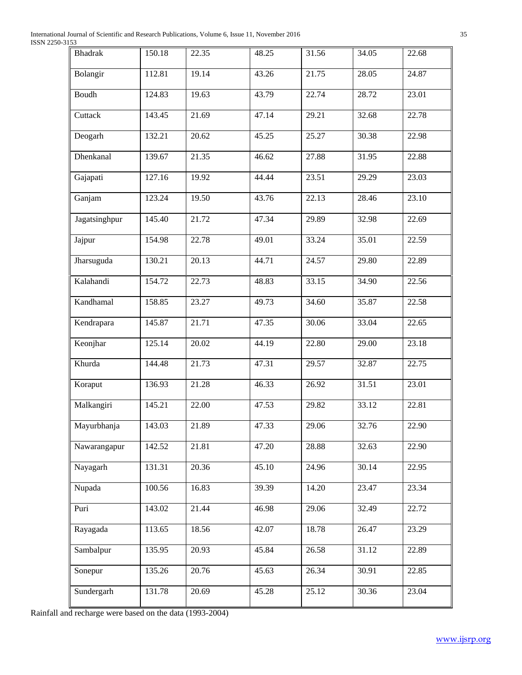International Journal of Scientific and Research Publications, Volume 6, Issue 11, November 2016 35 ISSN 2250-3153

| <b>Bhadrak</b> | 150.18 | 22.35 | 48.25 | 31.56 | 34.05 | 22.68 |
|----------------|--------|-------|-------|-------|-------|-------|
| Bolangir       | 112.81 | 19.14 | 43.26 | 21.75 | 28.05 | 24.87 |
| Boudh          | 124.83 | 19.63 | 43.79 | 22.74 | 28.72 | 23.01 |
| Cuttack        | 143.45 | 21.69 | 47.14 | 29.21 | 32.68 | 22.78 |
| Deogarh        | 132.21 | 20.62 | 45.25 | 25.27 | 30.38 | 22.98 |
| Dhenkanal      | 139.67 | 21.35 | 46.62 | 27.88 | 31.95 | 22.88 |
| Gajapati       | 127.16 | 19.92 | 44.44 | 23.51 | 29.29 | 23.03 |
| Ganjam         | 123.24 | 19.50 | 43.76 | 22.13 | 28.46 | 23.10 |
| Jagatsinghpur  | 145.40 | 21.72 | 47.34 | 29.89 | 32.98 | 22.69 |
| Jajpur         | 154.98 | 22.78 | 49.01 | 33.24 | 35.01 | 22.59 |
| Jharsuguda     | 130.21 | 20.13 | 44.71 | 24.57 | 29.80 | 22.89 |
| Kalahandi      | 154.72 | 22.73 | 48.83 | 33.15 | 34.90 | 22.56 |
| Kandhamal      | 158.85 | 23.27 | 49.73 | 34.60 | 35.87 | 22.58 |
| Kendrapara     | 145.87 | 21.71 | 47.35 | 30.06 | 33.04 | 22.65 |
| Keonjhar       | 125.14 | 20.02 | 44.19 | 22.80 | 29.00 | 23.18 |
| Khurda         | 144.48 | 21.73 | 47.31 | 29.57 | 32.87 | 22.75 |
| Koraput        | 136.93 | 21.28 | 46.33 | 26.92 | 31.51 | 23.01 |
| Malkangiri     | 145.21 | 22.00 | 47.53 | 29.82 | 33.12 | 22.81 |
| Mayurbhanja    | 143.03 | 21.89 | 47.33 | 29.06 | 32.76 | 22.90 |
| Nawarangapur   | 142.52 | 21.81 | 47.20 | 28.88 | 32.63 | 22.90 |
| Nayagarh       | 131.31 | 20.36 | 45.10 | 24.96 | 30.14 | 22.95 |
| Nupada         | 100.56 | 16.83 | 39.39 | 14.20 | 23.47 | 23.34 |
| Puri           | 143.02 | 21.44 | 46.98 | 29.06 | 32.49 | 22.72 |
| Rayagada       | 113.65 | 18.56 | 42.07 | 18.78 | 26.47 | 23.29 |
| Sambalpur      | 135.95 | 20.93 | 45.84 | 26.58 | 31.12 | 22.89 |
| Sonepur        | 135.26 | 20.76 | 45.63 | 26.34 | 30.91 | 22.85 |
| Sundergarh     | 131.78 | 20.69 | 45.28 | 25.12 | 30.36 | 23.04 |

Rainfall and recharge were based on the data (1993-2004)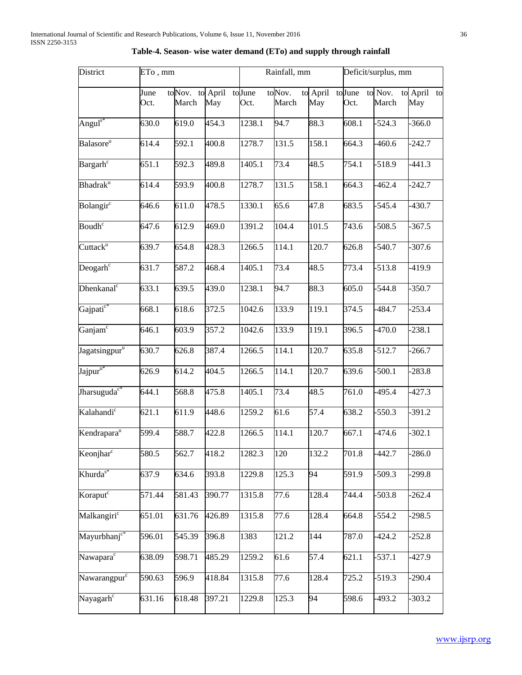| District<br>ETo, mm                    |                     |                                 |        | Rainfall, mm |                    |                         | Deficit/surplus, mm |                  |                    |
|----------------------------------------|---------------------|---------------------------------|--------|--------------|--------------------|-------------------------|---------------------|------------------|--------------------|
|                                        | June<br>Oct.        | toNov. to April toJune<br>March | May    | Oct.         | toNov.<br>March    | to April to June<br>May | Oct.                | to Nov.<br>March | to April to<br>May |
| Anguls $*$                             | 630.0               | 619.0                           | 454.3  | 1238.1       | 94.7               | 88.3                    | 608.1               | $-524.3$         | $-366.0$           |
| Balasore <sup>u</sup>                  | 614.4               | 592.1                           | 400.8  | 1278.7       | 131.5              | 158.1                   | 664.3               | $-460.6$         | $-242.7$           |
| Bargarh <sup>c</sup>                   | 651.1               | 592.3                           | 489.8  | 1405.1       | 73.4               | 48.5                    | 754.1               | $-518.9$         | $-441.3$           |
| Bhadrak <sup>u</sup>                   | 614.4               | 593.9                           | 400.8  | 1278.7       | 131.5              | 158.1                   | 664.3               | $-462.4$         | $-242.7$           |
| Bolangir $\overline{c}$                | 646.6               | 611.0                           | 478.5  | 1330.1       | 65.6               | 47.8                    | 683.5               | $-545.4$         | $-430.7$           |
| Boudh $\overline{c}$                   | 647.6               | 612.9                           | 469.0  | 1391.2       | 104.4              | 101.5                   | 743.6               | $-508.5$         | $-367.5$           |
| Cuttrack <sup>u</sup>                  | 639.7               | 654.8                           | 428.3  | 1266.5       | 114.1              | 120.7                   | 626.8               | $-540.7$         | $-307.6$           |
| Deogarh $c$                            | 631.7               | 587.2                           | 468.4  | 1405.1       | 73.4               | 48.5                    | 773.4               | $-513.8$         | $-419.9$           |
| Dhenkanal $\overline{C}$               | 633.1               | 639.5                           | 439.0  | 1238.1       | 94.7               | 88.3                    | 605.0               | $-544.8$         | $-350.7$           |
| Gajpati <sup>c*</sup>                  | 668.1               | 618.6                           | 372.5  | 1042.6       | 133.9              | $\overline{1}19.1$      | 374.5               | $-484.7$         | $-253.4$           |
| Ganjam $\overline{\text{}}^{\text{c}}$ | 646.1               | 603.9                           | 357.2  | 1042.6       | 133.9              | 119.1                   | 396.5               | $-470.0$         | $-238.1$           |
| Jagatsingpur <sup>u</sup>              | 630.7               | 626.8                           | 387.4  | 1266.5       | $\overline{1}14.1$ | 120.7                   | 635.8               | $-512.7$         | $-266.7$           |
| Jajpur $u^*$                           | 626.9               | 614.2                           | 404.5  | 1266.5       | 114.1              | 120.7                   | 639.6               | $-500.1$         | $-283.8$           |
| Jharsuguda <sup>c*</sup>               | 644.1               | 568.8                           | 475.8  | 1405.1       | 73.4               | 48.5                    | 761.0               | $-495.4$         | $-427.3$           |
| Kalahandi <sup>c</sup>                 | 621.1               | 611.9                           | 448.6  | 1259.2       | 61.6               | 57.4                    | 638.2               | $-550.3$         | $-391.2$           |
| Kendrapara <sup>u</sup>                | 599.4               | 588.7                           | 422.8  | 1266.5       | 114.1              | 120.7                   | 667.1               | $-474.6$         | $-302.1$           |
| Keonjhar <sup>c</sup>                  | 580.5               | 562.7                           | 418.2  | 1282.3       | 120                | 132.2                   | 701.8               | $-442.7$         | $-286.0$           |
| Khurda <sup>s*</sup>                   | 637.9               | 634.6                           | 393.8  | 1229.8       | 125.3              | 94                      | 591.9               | $-509.3$         | 299.8              |
| Koraput $\overline{c}$                 | 571.44              | 581.43                          | 390.77 | 1315.8       | $\overline{7}7.6$  | 128.4                   | 744.4               | $-503.8$         | $-262.4$           |
| Malkangiri <sup>c</sup>                | 651.01              | 631.76                          | 426.89 | 1315.8       | 77.6               | 128.4                   | 664.8               | $-554.2$         | $-298.5$           |
| Mayurbhanj <sup>c*</sup>               | 596.01              | 545.39                          | 396.8  | 1383         | 121.2              | 144                     | 787.0               | $-424.2$         | $-252.8$           |
| Nawapara <sup>c</sup>                  | 638.09              | 598.71                          | 485.29 | 1259.2       | 61.6               | 57.4                    | 621.1               | $-537.1$         | $-427.9$           |
| Nawarangpurc                           | 590.63              | 596.9                           | 418.84 | 1315.8       | 77.6               | 128.4                   | 725.2               | $-519.3$         | $-290.4$           |
| Nayagarh <sup>c</sup>                  | $\overline{631}.16$ | 618.48                          | 397.21 | 1229.8       | 125.3              | 94                      | 598.6               | $-493.2$         | $-303.2$           |

# **Table-4. Season- wise water demand (ETo) and supply through rainfall**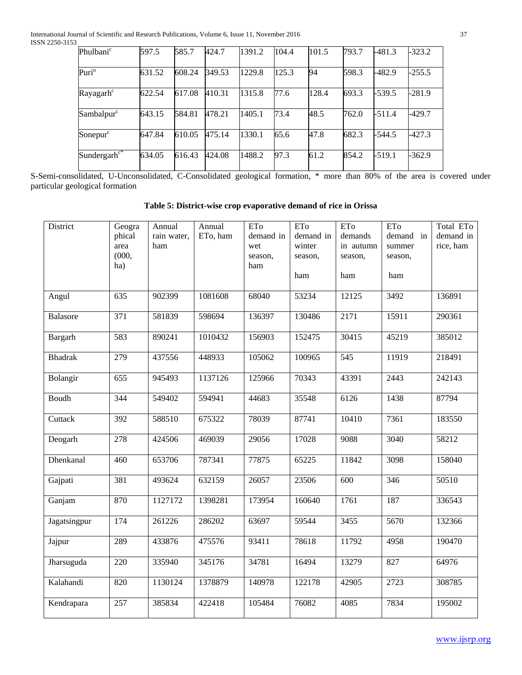| Phulbani <sup>c</sup>  | 597.5  | 585.7  | 424.7  | 1391.2 | 104.4 | 101.5 | 793.7 | $-481.3$ | $-323.2$ |
|------------------------|--------|--------|--------|--------|-------|-------|-------|----------|----------|
| Puri <sup>u</sup>      | 631.52 | 608.24 | 349.53 | 1229.8 | 125.3 | 94    | 598.3 | $-482.9$ | $-255.5$ |
| Rayagarh <sup>c</sup>  | 622.54 | 617.08 | 410.31 | 1315.8 | 77.6  | 128.4 | 693.3 | $-539.5$ | $-281.9$ |
| Sambalpur <sup>c</sup> | 643.15 | 584.81 | 478.21 | 1405.1 | 73.4  | 48.5  | 762.0 | -511.4   | $-429.7$ |
| Sonepur <sup>c</sup>   | 647.84 | 610.05 | 475.14 | 1330.1 | 65.6  | 47.8  | 682.3 | $-544.5$ | -427.3   |
| Sundergarh $c^*$       | 634.05 | 616.43 | 424.08 | 1488.2 | 97.3  | 61.2  | 854.2 | $-519.1$ | $-362.9$ |

S-Semi-consolidated, U-Unconsolidated, C-Consolidated geological formation, \* more than 80% of the area is covered under particular geological formation

| Table 5: District-wise crop evaporative demand of rice in Orissa |  |  |
|------------------------------------------------------------------|--|--|
|------------------------------------------------------------------|--|--|

| District        | Geogra<br>phical<br>area<br>(000, 000)<br>ha) | Annual<br>rain water,<br>ham | Annual<br>ETo, ham | ETo<br>demand in<br>wet<br>season,<br>ham | ETo<br>demand in<br>winter<br>season, | ETo<br>demands<br>in autumn<br>season, | ETo<br>demand in<br>summer<br>season, | Total ETo<br>demand in<br>rice, ham |
|-----------------|-----------------------------------------------|------------------------------|--------------------|-------------------------------------------|---------------------------------------|----------------------------------------|---------------------------------------|-------------------------------------|
|                 |                                               |                              |                    |                                           | ham                                   | ham                                    | ham                                   |                                     |
| Angul           | 635                                           | 902399                       | 1081608            | 68040                                     | 53234                                 | 12125                                  | 3492                                  | 136891                              |
| <b>Balasore</b> | 371                                           | 581839                       | 598694             | 136397                                    | 130486                                | 2171                                   | 15911                                 | 290361                              |
| Bargarh         | 583                                           | 890241                       | 1010432            | 156903                                    | 152475                                | 30415                                  | 45219                                 | 385012                              |
| <b>Bhadrak</b>  | 279                                           | 437556                       | 448933             | 105062                                    | 100965                                | 545                                    | 11919                                 | 218491                              |
| Bolangir        | 655                                           | 945493                       | 1137126            | 125966                                    | 70343                                 | 43391                                  | 2443                                  | 242143                              |
| Boudh           | 344                                           | 549402                       | 594941             | 44683                                     | 35548                                 | 6126                                   | 1438                                  | 87794                               |
| Cuttack         | 392                                           | 588510                       | 675322             | 78039                                     | 87741                                 | 10410                                  | 7361                                  | 183550                              |
| Deogarh         | 278                                           | 424506                       | 469039             | 29056                                     | 17028                                 | 9088                                   | 3040                                  | 58212                               |
| Dhenkanal       | 460                                           | 653706                       | 787341             | 77875                                     | 65225                                 | 11842                                  | 3098                                  | 158040                              |
| Gajpati         | 381                                           | 493624                       | 632159             | 26057                                     | 23506                                 | 600                                    | 346                                   | 50510                               |
| Ganjam          | 870                                           | 1127172                      | 1398281            | 173954                                    | 160640                                | 1761                                   | 187                                   | 336543                              |
| Jagatsingpur    | 174                                           | 261226                       | 286202             | 63697                                     | 59544                                 | 3455                                   | 5670                                  | 132366                              |
| Jajpur          | 289                                           | 433876                       | 475576             | 93411                                     | 78618                                 | 11792                                  | 4958                                  | 190470                              |
| Jharsuguda      | 220                                           | 335940                       | 345176             | 34781                                     | 16494                                 | 13279                                  | 827                                   | 64976                               |
| Kalahandi       | 820                                           | 1130124                      | 1378879            | 140978                                    | 122178                                | 42905                                  | 2723                                  | 308785                              |
| Kendrapara      | 257                                           | 385834                       | 422418             | 105484                                    | 76082                                 | 4085                                   | 7834                                  | 195002                              |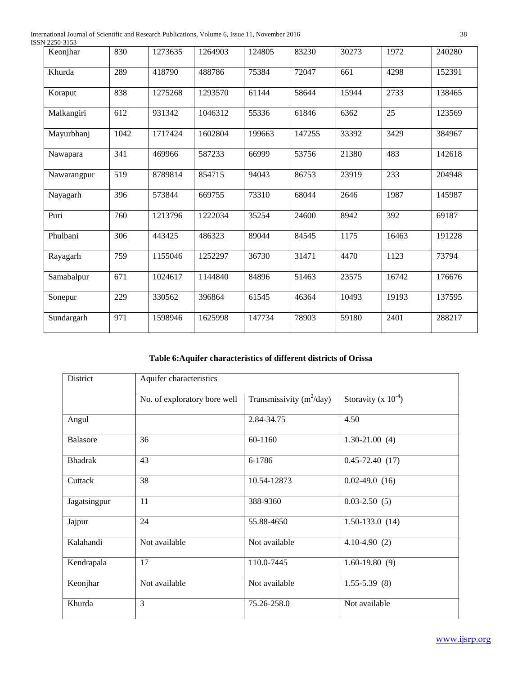International Journal of Scientific and Research Publications, Volume 6, Issue 11, November 2016 38 ISSN 2250-3153

| 22JU-JIJJ<br>Keonjhar | 830  | 1273635 | 1264903 | 124805 | 83230  | 30273 | 1972  | 240280 |
|-----------------------|------|---------|---------|--------|--------|-------|-------|--------|
|                       |      |         |         |        |        |       |       |        |
| Khurda                | 289  | 418790  | 488786  | 75384  | 72047  | 661   | 4298  | 152391 |
| Koraput               | 838  | 1275268 | 1293570 | 61144  | 58644  | 15944 | 2733  | 138465 |
| Malkangiri            | 612  | 931342  | 1046312 | 55336  | 61846  | 6362  | 25    | 123569 |
| Mayurbhanj            | 1042 | 1717424 | 1602804 | 199663 | 147255 | 33392 | 3429  | 384967 |
| Nawapara              | 341  | 469966  | 587233  | 66999  | 53756  | 21380 | 483   | 142618 |
| Nawarangpur           | 519  | 8789814 | 854715  | 94043  | 86753  | 23919 | 233   | 204948 |
| Nayagarh              | 396  | 573844  | 669755  | 73310  | 68044  | 2646  | 1987  | 145987 |
| Puri                  | 760  | 1213796 | 1222034 | 35254  | 24600  | 8942  | 392   | 69187  |
| Phulbani              | 306  | 443425  | 486323  | 89044  | 84545  | 1175  | 16463 | 191228 |
| Rayagarh              | 759  | 1155046 | 1252297 | 36730  | 31471  | 4470  | 1123  | 73794  |
| Samabalpur            | 671  | 1024617 | 1144840 | 84896  | 51463  | 23575 | 16742 | 176676 |
| Sonepur               | 229  | 330562  | 396864  | 61545  | 46364  | 10493 | 19193 | 137595 |
| Sundargarh            | 971  | 1598946 | 1625998 | 147734 | 78903  | 59180 | 2401  | 288217 |

**Table 6:Aquifer characteristics of different districts of Orissa**

| District        | Aquifer characteristics      |                            |                          |  |  |  |  |
|-----------------|------------------------------|----------------------------|--------------------------|--|--|--|--|
|                 | No. of exploratory bore well | Transmissivity $(m^2/day)$ | Storavity (x $10^{-4}$ ) |  |  |  |  |
| Angul           |                              | 2.84-34.75                 | 4.50                     |  |  |  |  |
| <b>Balasore</b> | 36                           | 60-1160                    | $1.30 - 21.00$ (4)       |  |  |  |  |
| <b>Bhadrak</b>  | 43                           | 6-1786                     | $0.45 - 72.40(17)$       |  |  |  |  |
| Cuttack         | 38                           | 10.54-12873                | $0.02-49.0(16)$          |  |  |  |  |
| Jagatsingpur    | 11                           | 388-9360                   | $0.03 - 2.50(5)$         |  |  |  |  |
| Jajpur          | 24                           | 55.88-4650                 | $1.50 - 133.0$ (14)      |  |  |  |  |
| Kalahandi       | Not available                | Not available              | $4.10 - 4.90(2)$         |  |  |  |  |
| Kendrapala      | 17                           | 110.0-7445                 | $1.60 - 19.80(9)$        |  |  |  |  |
| Keonjhar        | Not available                | Not available              | $1.55 - 5.39(8)$         |  |  |  |  |
| Khurda          | 3                            | 75.26-258.0                | Not available            |  |  |  |  |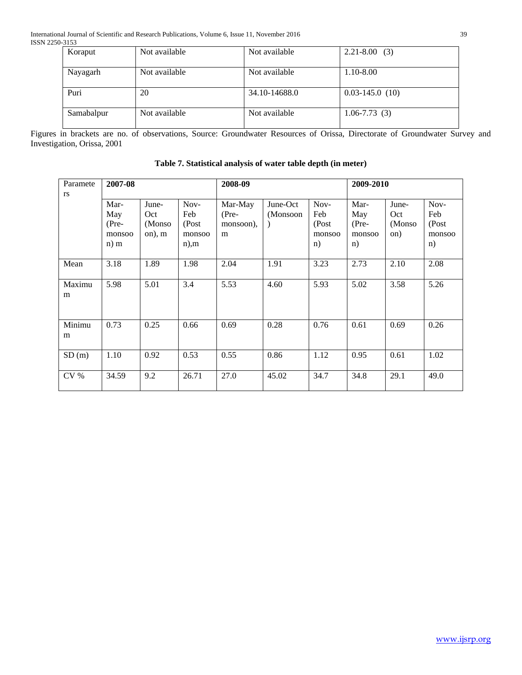| Koraput    | Not available | Not available | $2.21 - 8.00$ (3)   |
|------------|---------------|---------------|---------------------|
| Nayagarh   | Not available | Not available | 1.10-8.00           |
| Puri       | 20            | 34.10-14688.0 | $0.03 - 145.0$ (10) |
| Samabalpur | Not available | Not available | $1.06 - 7.73(3)$    |

Figures in brackets are no. of observations, Source: Groundwater Resources of Orissa, Directorate of Groundwater Survey and Investigation, Orissa, 2001

| Paramete<br>rs  | 2007-08                                    |                                   |                                          | 2008-09                              |                      | 2009-2010                            |                                        |                                |                                      |
|-----------------|--------------------------------------------|-----------------------------------|------------------------------------------|--------------------------------------|----------------------|--------------------------------------|----------------------------------------|--------------------------------|--------------------------------------|
|                 | Mar-<br>May<br>$(Pre-$<br>monsoo<br>$n)$ m | June-<br>Oct<br>(Monso)<br>on), m | Nov-<br>Feb<br>(Post<br>monsoo<br>$n$ ,m | Mar-May<br>$(Pre-$<br>monsoon),<br>m | June-Oct<br>(Monsoon | Nov-<br>Feb<br>(Post<br>monsoo<br>n) | Mar-<br>May<br>$(Pre-$<br>monsoo<br>n) | June-<br>Oct<br>(Monso)<br>on) | Nov-<br>Feb<br>(Post<br>monsoo<br>n) |
| Mean            | 3.18                                       | 1.89                              | 1.98                                     | 2.04                                 | 1.91                 | 3.23                                 | 2.73                                   | 2.10                           | 2.08                                 |
| Maximu<br>m     | 5.98                                       | 5.01                              | 3.4                                      | 5.53                                 | 4.60                 | 5.93                                 | 5.02                                   | 3.58                           | 5.26                                 |
| Minimu<br>m     | 0.73                                       | 0.25                              | 0.66                                     | 0.69                                 | 0.28                 | 0.76                                 | 0.61                                   | 0.69                           | 0.26                                 |
| SD(m)           | 1.10                                       | 0.92                              | 0.53                                     | 0.55                                 | 0.86                 | 1.12                                 | 0.95                                   | 0.61                           | 1.02                                 |
| CV <sub>%</sub> | 34.59                                      | 9.2                               | 26.71                                    | 27.0                                 | 45.02                | 34.7                                 | 34.8                                   | 29.1                           | 49.0                                 |

**Table 7. Statistical analysis of water table depth (in meter)**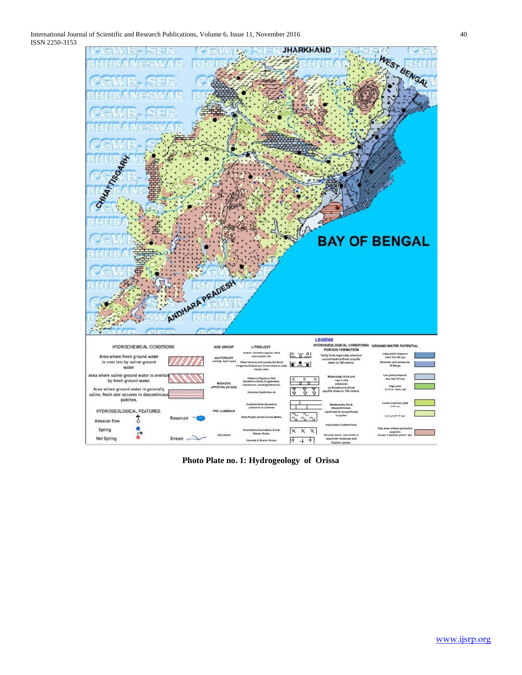

**Photo Plate no. 1: Hydrogeology of Orissa**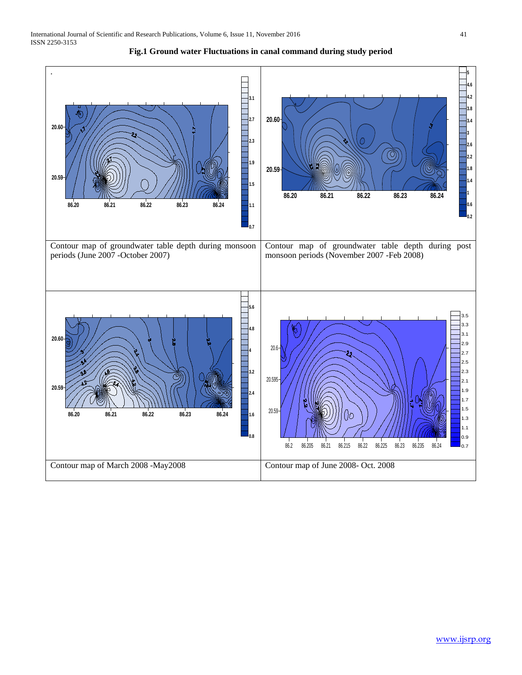

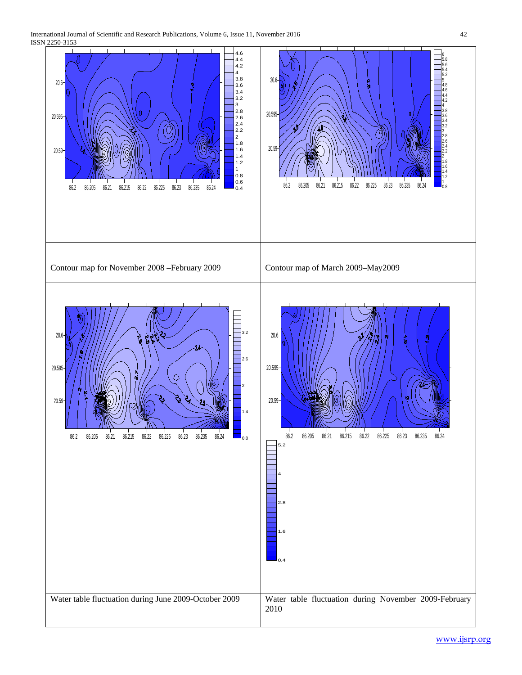